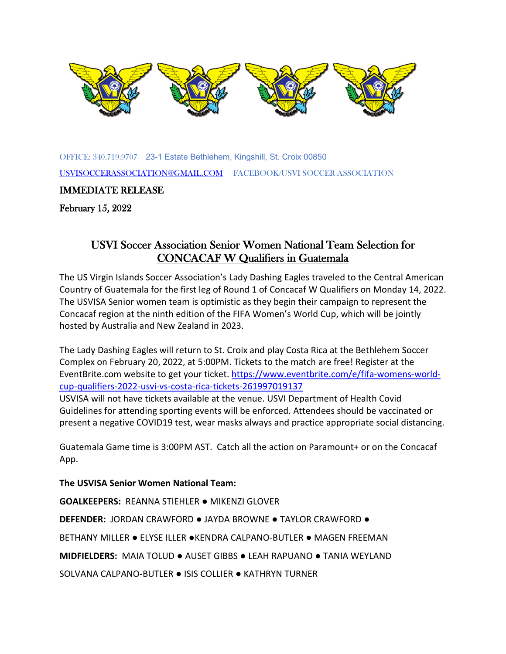

OF[FICE: 340](https://creativecommons.org/licenses/by-sa/3.0/).719.9707 23-[1 Estate](https://creativecommons.org/licenses/by-sa/3.0/) Bethlehem, Kin[gshill, St.](https://creativecommons.org/licenses/by-sa/3.0/) Croix 00850 [USVISOCCERASSOCIATION@GMAIL.COM](mailto:USVISOCCERASSOCIATION@GMAIL.COM) FACEBOOK/USVI SOCCER ASSOCIATION

IMMEDIATE RELEASE

February 15, 2022

## USVI Soccer Association Senior Women National Team Selection for CONCACAF W Qualifiers in Guatemala

The US Virgin Islands Soccer Association's Lady Dashing Eagles traveled to the Central American Country of Guatemala for the first leg of Round 1 of Concacaf W Qualifiers on Monday 14, 2022. The USVISA Senior women team is optimistic as they begin their campaign to represent the Concacaf region at the ninth edition of the FIFA Women's World Cup, which will be jointly hosted by Australia and New Zealand in 2023.

The Lady Dashing Eagles will return to St. Croix and play Costa Rica at the Bethlehem Soccer Complex on February 20, 2022, at 5:00PM. Tickets to the match are free! Register at the EventBrite.com website to get your ticket. [https://www.eventbrite.com/e/fifa-womens-world](https://www.eventbrite.com/e/fifa-womens-world-cup-qualifiers-2022-usvi-vs-costa-rica-tickets-261997019137)[cup-qualifiers-2022-usvi-vs-costa-rica-tickets-261997019137](https://www.eventbrite.com/e/fifa-womens-world-cup-qualifiers-2022-usvi-vs-costa-rica-tickets-261997019137)

USVISA will not have tickets available at the venue. USVI Department of Health Covid Guidelines for attending sporting events will be enforced. Attendees should be vaccinated or present a negative COVID19 test, wear masks always and practice appropriate social distancing.

Guatemala Game time is 3:00PM AST. Catch all the action on Paramount+ or on the Concacaf App.

## **The USVISA Senior Women National Team:**

**GOALKEEPERS:** REANNA STIEHLER ● MIKENZI GLOVER

**DEFENDER:** JORDAN CRAWFORD ● JAYDA BROWNE ● TAYLOR CRAWFORD ●

BETHANY MILLER ● ELYSE ILLER ●KENDRA CALPANO-BUTLER ● MAGEN FREEMAN

**MIDFIELDERS:** MAIA TOLUD ● AUSET GIBBS ● LEAH RAPUANO ● TANIA WEYLAND

SOLVANA CALPANO-BUTLER ● ISIS COLLIER ● KATHRYN TURNER